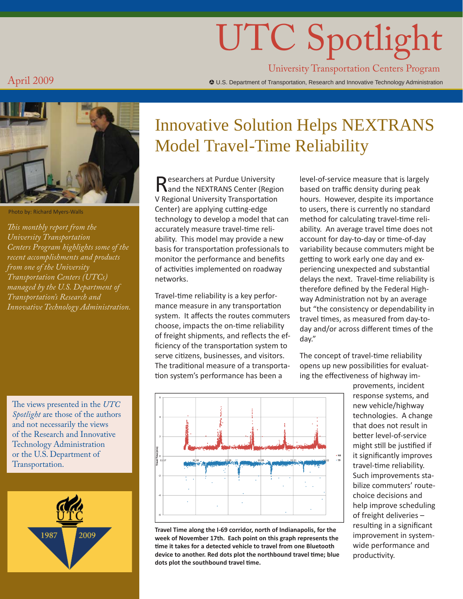# UTC Spotlight

University Transportation Centers Program

 $\rm{April}$   $\rm{2009}$   $\rm{4009}$ 



Photo by: Richard Myers-Walls

*This monthly report from the University Transportation Centers Program highlights some of the recent accomplishments and products from one of the University Transportation Centers (UTCs) managed by the U.S. Department of Transportation's Research and Innovative Technology Administration.*

The views presented in the *UTC Spotlight* are those of the authors and not necessarily the views of the Research and Innovative Technology Administration or the U.S. Department of Transportation.



## Innovative Solution Helps NEXTRANS Model Travel-Time Reliability

Researchers at Purdue University<br>
Rand the NEXTRANS Center (Region V Regional University Transportation Center) are applying cutting-edge technology to develop a model that can accurately measure travel-time reliability. This model may provide a new basis for transportation professionals to monitor the performance and benefits of activities implemented on roadway networks.

Travel-time reliability is a key performance measure in any transportation system. It affects the routes commuters choose, impacts the on-time reliability of freight shipments, and reflects the efficiency of the transportation system to serve citizens, businesses, and visitors. The traditional measure of a transportation system's performance has been a

level-of-service measure that is largely based on traffic density during peak hours. However, despite its importance to users, there is currently no standard method for calculating travel-time reliability. An average travel time does not account for day-to-day or time-of-day variability because commuters might be getting to work early one day and experiencing unexpected and substantial delays the next. Travel-time reliability is therefore defined by the Federal Highway Administration not by an average but "the consistency or dependability in travel times, as measured from day-today and/or across different times of the day."

The concept of travel-time reliability opens up new possibilities for evaluating the effectiveness of highway im-

> provements, incident response systems, and new vehicle/highway technologies. A change that does not result in better level-of-service might still be justified if it significantly improves travel-time reliability. Such improvements stabilize commuters' routechoice decisions and help improve scheduling of freight deliveries – resulting in a significant improvement in systemwide performance and productivity.



**Travel Time along the I-69 corridor, north of Indianapolis, for the week of November 17th. Each point on this graph represents the ti me it takes for a detected vehicle to travel from one Bluetooth device to another. Red dots plot the northbound travel ti me; blue dots plot the southbound travel ti me.**